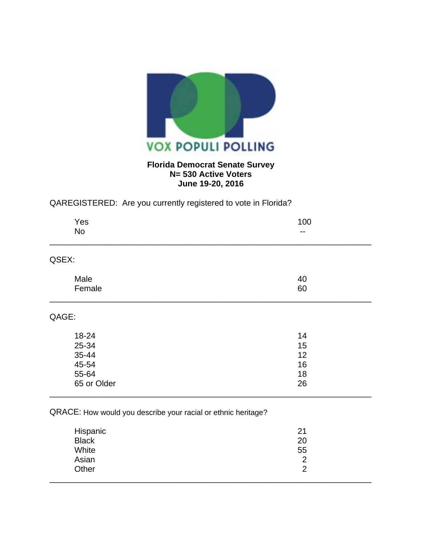

## **Florida Democrat Senate Survey N= 530 Active Voters June 19-20, 2016**

## QAREGISTERED: Are you currently registered to vote in Florida?

| 100                      |
|--------------------------|
| $\overline{\phantom{a}}$ |
|                          |
| 40                       |
| 60                       |
|                          |
| 14                       |
| 15                       |
| 12                       |
| 16                       |
| 18                       |
| 26                       |
|                          |

## QRACE: How would you describe your racial or ethnic heritage?

| Hispanic     | 21             |
|--------------|----------------|
| <b>Black</b> | 20             |
| White        | 55             |
| Asian        | $\overline{2}$ |
| Other        | 2              |
|              |                |